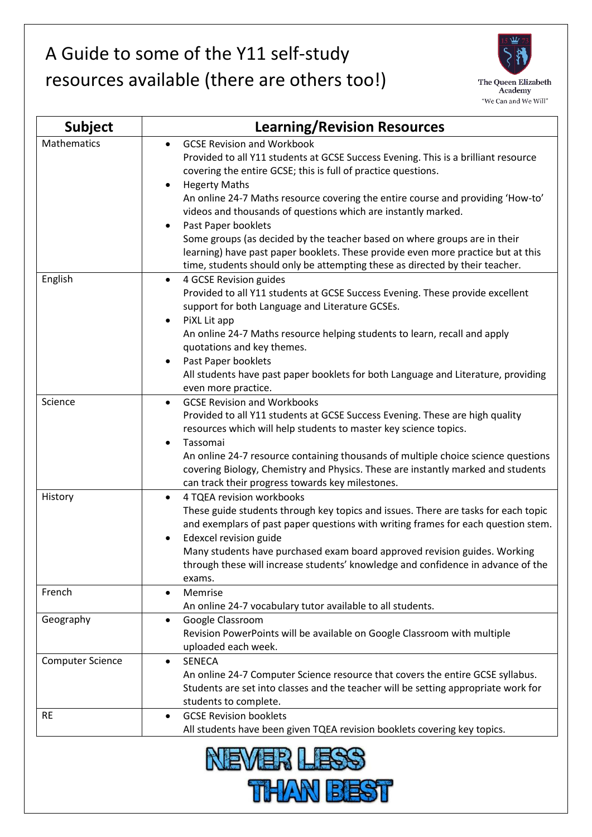## A Guide to some of the Y11 self-study resources available (there are others too!)



| <b>Subject</b>          | <b>Learning/Revision Resources</b>                                                                                                                                                                                                                                                                                                                                                                                                                                                                                                                                        |
|-------------------------|---------------------------------------------------------------------------------------------------------------------------------------------------------------------------------------------------------------------------------------------------------------------------------------------------------------------------------------------------------------------------------------------------------------------------------------------------------------------------------------------------------------------------------------------------------------------------|
| Mathematics             | <b>GCSE Revision and Workbook</b><br>$\bullet$<br>Provided to all Y11 students at GCSE Success Evening. This is a brilliant resource<br>covering the entire GCSE; this is full of practice questions.<br><b>Hegerty Maths</b><br>An online 24-7 Maths resource covering the entire course and providing 'How-to'<br>videos and thousands of questions which are instantly marked.<br>Past Paper booklets<br>Some groups (as decided by the teacher based on where groups are in their<br>learning) have past paper booklets. These provide even more practice but at this |
| English                 | time, students should only be attempting these as directed by their teacher.<br>4 GCSE Revision guides<br>$\bullet$<br>Provided to all Y11 students at GCSE Success Evening. These provide excellent<br>support for both Language and Literature GCSEs.<br>PiXL Lit app<br>$\bullet$<br>An online 24-7 Maths resource helping students to learn, recall and apply<br>quotations and key themes.<br>Past Paper booklets<br>$\bullet$                                                                                                                                       |
|                         | All students have past paper booklets for both Language and Literature, providing<br>even more practice.                                                                                                                                                                                                                                                                                                                                                                                                                                                                  |
| Science                 | <b>GCSE Revision and Workbooks</b><br>$\bullet$<br>Provided to all Y11 students at GCSE Success Evening. These are high quality<br>resources which will help students to master key science topics.<br>Tassomai<br>$\bullet$<br>An online 24-7 resource containing thousands of multiple choice science questions<br>covering Biology, Chemistry and Physics. These are instantly marked and students<br>can track their progress towards key milestones.                                                                                                                 |
| History                 | 4 TQEA revision workbooks<br>$\bullet$<br>These guide students through key topics and issues. There are tasks for each topic<br>and exemplars of past paper questions with writing frames for each question stem.<br>Edexcel revision guide<br>Many students have purchased exam board approved revision guides. Working<br>through these will increase students' knowledge and confidence in advance of the<br>exams.                                                                                                                                                    |
| French                  | Memrise<br>$\bullet$<br>An online 24-7 vocabulary tutor available to all students.                                                                                                                                                                                                                                                                                                                                                                                                                                                                                        |
| Geography               | Google Classroom<br>٠<br>Revision PowerPoints will be available on Google Classroom with multiple<br>uploaded each week.                                                                                                                                                                                                                                                                                                                                                                                                                                                  |
| <b>Computer Science</b> | <b>SENECA</b><br>$\bullet$<br>An online 24-7 Computer Science resource that covers the entire GCSE syllabus.<br>Students are set into classes and the teacher will be setting appropriate work for<br>students to complete.                                                                                                                                                                                                                                                                                                                                               |
| <b>RE</b>               | <b>GCSE Revision booklets</b><br>$\bullet$<br>All students have been given TQEA revision booklets covering key topics.                                                                                                                                                                                                                                                                                                                                                                                                                                                    |

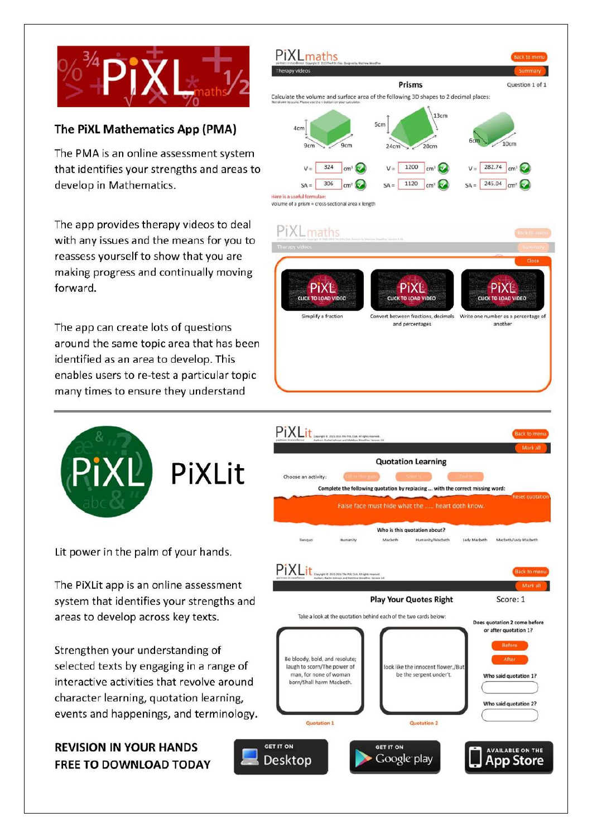

## The PiXL Mathematics App (PMA)

The PMA is an online assessment system that identifies your strengths and areas to develop in Mathematics.

The app provides therapy videos to deal with any issues and the means for you to reassess yourself to show that you are making progress and continually moving forward.

The app can create lots of questions around the same topic area that has been identified as an area to develop. This enables users to re-test a particular topic many times to ensure they understand



Lit power in the palm of your hands.

The PiXLit app is an online assessment system that identifies your strengths and areas to develop across key texts.

Strengthen your understanding of selected texts by engaging in a range of interactive activities that revolve around character learning, quotation learning, events and happenings, and terminology.

## **REVISION IN YOUR HANDS** FREE TO DOWNLOAD TODAY